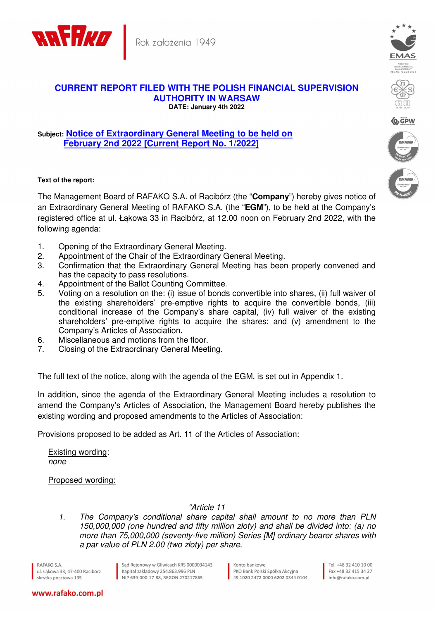



## **Subject: Notice of Extraordinary General Meeting to be held on February 2nd 2022 [Current Report No. 1/2022]**

## **Text of the report:**

The Management Board of RAFAKO S.A. of Racibórz (the "**Company**") hereby gives notice of an Extraordinary General Meeting of RAFAKO S.A. (the "**EGM**"), to be held at the Company's registered office at ul. Łąkowa 33 in Racibórz, at 12.00 noon on February 2nd 2022, with the following agenda:

- 1. Opening of the Extraordinary General Meeting.
- 2. Appointment of the Chair of the Extraordinary General Meeting.
- 3. Confirmation that the Extraordinary General Meeting has been properly convened and has the capacity to pass resolutions.
- 4. Appointment of the Ballot Counting Committee.
- 5. Voting on a resolution on the: (i) issue of bonds convertible into shares, (ii) full waiver of the existing shareholders' pre-emptive rights to acquire the convertible bonds, (iii) conditional increase of the Company's share capital, (iv) full waiver of the existing shareholders' pre-emptive rights to acquire the shares; and (v) amendment to the Company's Articles of Association.
- 6. Miscellaneous and motions from the floor.
- 7. Closing of the Extraordinary General Meeting.

The full text of the notice, along with the agenda of the EGM, is set out in Appendix 1.

In addition, since the agenda of the Extraordinary General Meeting includes a resolution to amend the Company's Articles of Association, the Management Board hereby publishes the existing wording and proposed amendments to the Articles of Association:

Provisions proposed to be added as Art. 11 of the Articles of Association:

Existing wording: none

Proposed wording:

"Article 11

1. The Company's conditional share capital shall amount to no more than PLN 150,000,000 (one hundred and fifty million złoty) and shall be divided into: (a) no more than 75,000,000 (seventy-five million) Series [M] ordinary bearer shares with a par value of PLN 2.00 (two złoty) per share.

RAFAKO S.A. ul, Łakowa 33, 47-400 Racibórz skrytka pocztowa 135

Sąd Rejonowy w Gliwicach KRS 0000034143 Kapitał zakładowy 254.863.996 PLN NIP 639-000-17-88, REGON 270217865

Konto bankowe PKO Bank Polski Spółka Akcyina 49 1020 2472 0000 6202 0344 0104

Tel. +48 32 410 10 00 Fax +48 32 415 34 27 info@rafako.com.pl